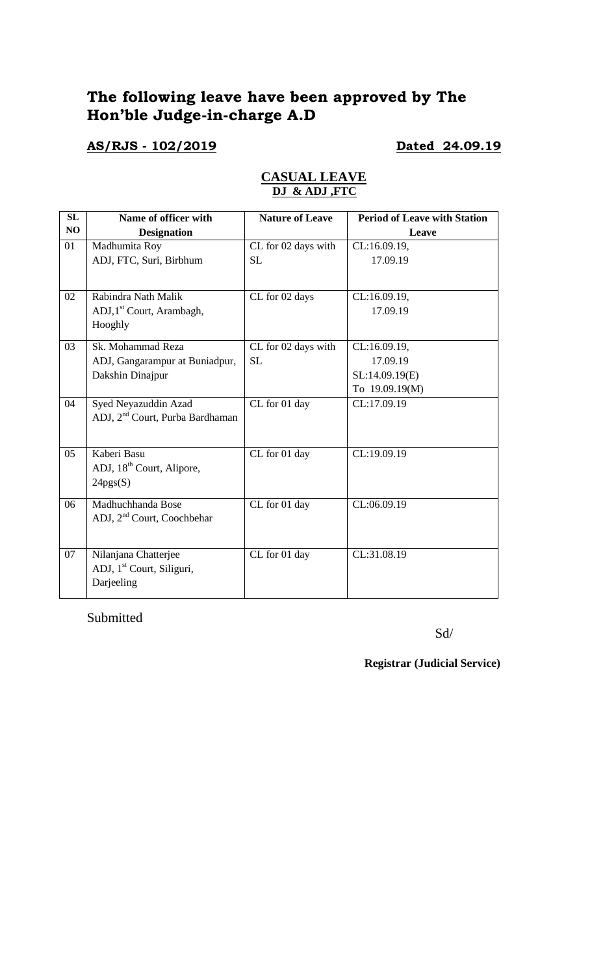# **The following leave have been approved by The Hon'ble Judge-in-charge A.D**

### **AS/RJS - 102/2019 Dated 24.09.19**

| SL | Name of officer with                        | <b>Nature of Leave</b> | <b>Period of Leave with Station</b> |
|----|---------------------------------------------|------------------------|-------------------------------------|
| NO | <b>Designation</b>                          |                        | Leave                               |
| 01 | Madhumita Roy                               | CL for 02 days with    | CL:16.09.19,                        |
|    | ADJ, FTC, Suri, Birbhum                     | <b>SL</b>              | 17.09.19                            |
|    |                                             |                        |                                     |
| 02 | Rabindra Nath Malik                         | CL for 02 days         | CL:16.09.19,                        |
|    | ADJ, 1 <sup>st</sup> Court, Arambagh,       |                        | 17.09.19                            |
|    | Hooghly                                     |                        |                                     |
| 03 | Sk. Mohammad Reza                           | CL for 02 days with    | CL:16.09.19,                        |
|    | ADJ, Gangarampur at Buniadpur,              | <b>SL</b>              | 17.09.19                            |
|    | Dakshin Dinajpur                            |                        | SL:14.09.19(E)                      |
|    |                                             |                        | To 19.09.19(M)                      |
| 04 | Syed Neyazuddin Azad                        | CL for 01 day          | CL:17.09.19                         |
|    | ADJ, 2 <sup>nd</sup> Court, Purba Bardhaman |                        |                                     |
|    |                                             |                        |                                     |
| 05 | Kaberi Basu                                 | CL for 01 day          | CL:19.09.19                         |
|    | ADJ, 18 <sup>th</sup> Court, Alipore,       |                        |                                     |
|    | 24pgs(S)                                    |                        |                                     |
| 06 | Madhuchhanda Bose                           | CL for 01 day          | CL:06.09.19                         |
|    | ADJ, 2 <sup>nd</sup> Court, Coochbehar      |                        |                                     |
|    |                                             |                        |                                     |
| 07 | Nilanjana Chatterjee                        | CL for 01 day          | CL:31.08.19                         |
|    | ADJ, 1 <sup>st</sup> Court, Siliguri,       |                        |                                     |
|    | Darjeeling                                  |                        |                                     |
|    |                                             |                        |                                     |

#### **CASUAL LEAVE DJ & ADJ ,FTC**

Submitted

Sd/

**Registrar (Judicial Service)**